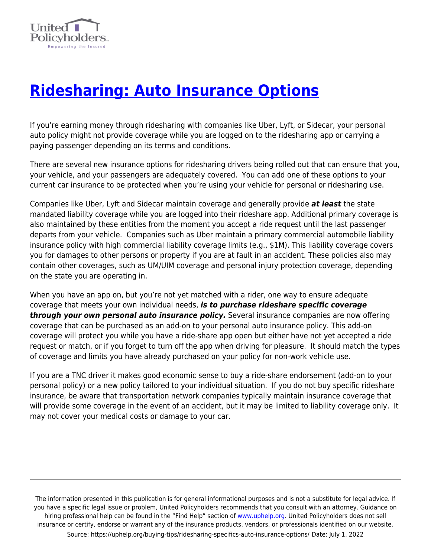

## **[Ridesharing: Auto Insurance Options](https://uphelp.org/buying-tips/ridesharing-specifics-auto-insurance-options/)**

If you're earning money through ridesharing with companies like Uber, Lyft, or Sidecar, your personal auto policy might not provide coverage while you are logged on to the ridesharing app or carrying a paying passenger depending on its terms and conditions.

There are several new insurance options for ridesharing drivers being rolled out that can ensure that you, your vehicle, and your passengers are adequately covered. You can add one of these options to your current car insurance to be protected when you're using your vehicle for personal or ridesharing use.

Companies like Uber, Lyft and Sidecar maintain coverage and generally provide *at least* the state mandated liability coverage while you are logged into their rideshare app. Additional primary coverage is also maintained by these entities from the moment you accept a ride request until the last passenger departs from your vehicle. Companies such as Uber maintain a primary commercial automobile liability insurance policy with high commercial liability coverage limits (e.g., \$1M). This liability coverage covers you for damages to other persons or property if you are at fault in an accident. These policies also may contain other coverages, such as UM/UIM coverage and personal injury protection coverage, depending on the state you are operating in.

When you have an app on, but you're not yet matched with a rider, one way to ensure adequate coverage that meets your own individual needs, *is to purchase rideshare specific coverage through your own personal auto insurance policy.* Several insurance companies are now offering coverage that can be purchased as an add-on to your personal auto insurance policy. This add-on coverage will protect you while you have a ride-share app open but either have not yet accepted a ride request or match, or if you forget to turn off the app when driving for pleasure. It should match the types of coverage and limits you have already purchased on your policy for non-work vehicle use.

If you are a TNC driver it makes good economic sense to buy a ride-share endorsement (add-on to your personal policy) or a new policy tailored to your individual situation. If you do not buy specific rideshare insurance, be aware that transportation network companies typically maintain insurance coverage that will provide some coverage in the event of an accident, but it may be limited to liability coverage only. It may not cover your medical costs or damage to your car.

The information presented in this publication is for general informational purposes and is not a substitute for legal advice. If you have a specific legal issue or problem, United Policyholders recommends that you consult with an attorney. Guidance on hiring professional help can be found in the "Find Help" section of [www.uphelp.org.](http://www.uphelp.org/) United Policyholders does not sell insurance or certify, endorse or warrant any of the insurance products, vendors, or professionals identified on our website. Source: https://uphelp.org/buying-tips/ridesharing-specifics-auto-insurance-options/ Date: July 1, 2022